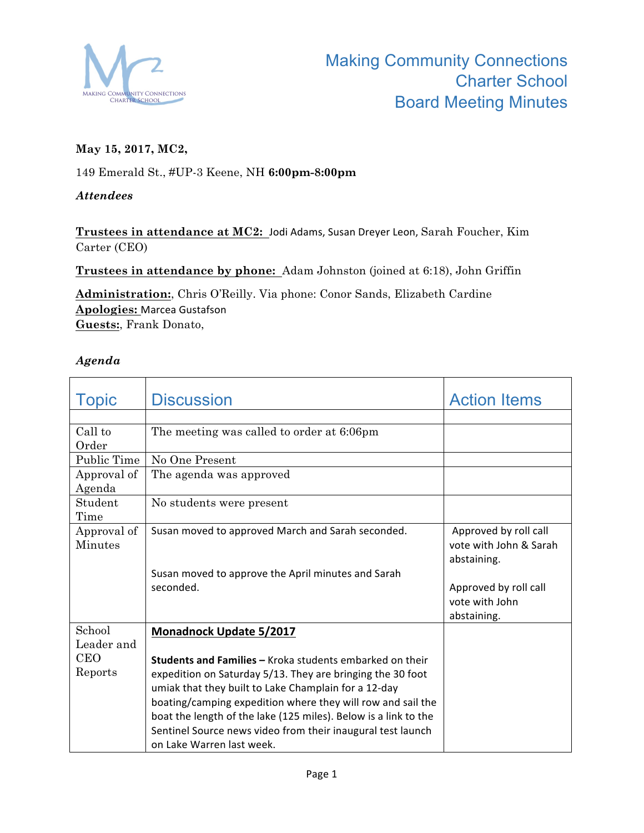

# **May 15, 2017, MC2,**

149 Emerald St., #UP-3 Keene, NH **6:00pm-8:00pm**

### *Attendees*

Trustees in attendance at MC2: Jodi Adams, Susan Dreyer Leon, Sarah Foucher, Kim Carter (CEO)

**Trustees in attendance by phone:** Adam Johnston (joined at 6:18), John Griffin

**Administration:**, Chris O'Reilly. Via phone: Conor Sands, Elizabeth Cardine **Apologies:** Marcea Gustafson **Guests:**, Frank Donato,

### *Agenda*

| <b>Topic</b> | <b>Discussion</b>                                               | <b>Action Items</b>    |
|--------------|-----------------------------------------------------------------|------------------------|
|              |                                                                 |                        |
| Call to      | The meeting was called to order at 6:06pm                       |                        |
| Order        |                                                                 |                        |
| Public Time  | No One Present                                                  |                        |
| Approval of  | The agenda was approved                                         |                        |
| Agenda       |                                                                 |                        |
| Student      | No students were present                                        |                        |
| Time         |                                                                 |                        |
| Approval of  | Susan moved to approved March and Sarah seconded.               | Approved by roll call  |
| Minutes      |                                                                 | vote with John & Sarah |
|              |                                                                 | abstaining.            |
|              | Susan moved to approve the April minutes and Sarah              |                        |
|              | seconded.                                                       | Approved by roll call  |
|              |                                                                 | vote with John         |
|              |                                                                 | abstaining.            |
| School       | <b>Monadnock Update 5/2017</b>                                  |                        |
| Leader and   |                                                                 |                        |
| <b>CEO</b>   | <b>Students and Families - Kroka students embarked on their</b> |                        |
| Reports      | expedition on Saturday 5/13. They are bringing the 30 foot      |                        |
|              | umiak that they built to Lake Champlain for a 12-day            |                        |
|              | boating/camping expedition where they will row and sail the     |                        |
|              | boat the length of the lake (125 miles). Below is a link to the |                        |
|              | Sentinel Source news video from their inaugural test launch     |                        |
|              | on Lake Warren last week.                                       |                        |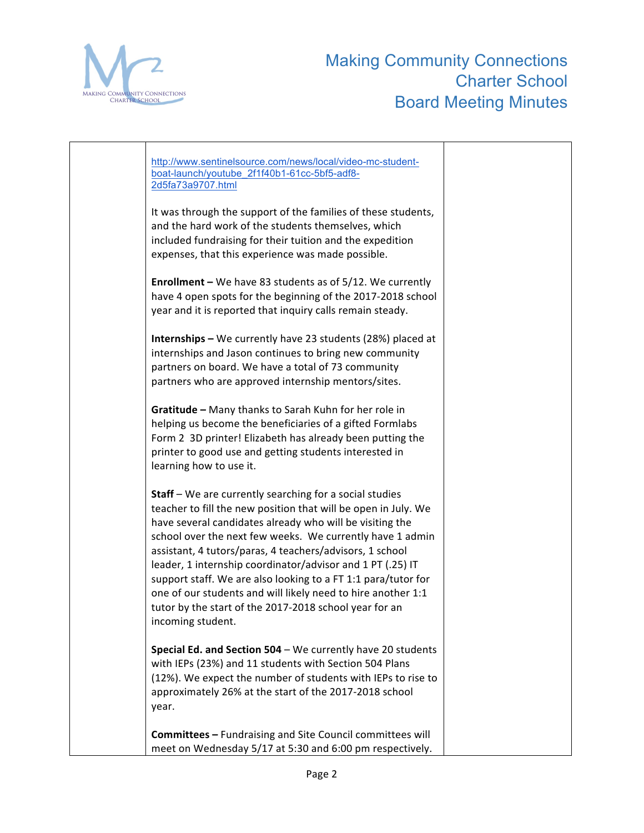

| http://www.sentinelsource.com/news/local/video-mc-student-<br>boat-launch/youtube 2f1f40b1-61cc-5bf5-adf8-<br>2d5fa73a9707.html                                                                                                                                                                                                                                                                                                                                                                                                                                                                     |  |
|-----------------------------------------------------------------------------------------------------------------------------------------------------------------------------------------------------------------------------------------------------------------------------------------------------------------------------------------------------------------------------------------------------------------------------------------------------------------------------------------------------------------------------------------------------------------------------------------------------|--|
| It was through the support of the families of these students,<br>and the hard work of the students themselves, which<br>included fundraising for their tuition and the expedition<br>expenses, that this experience was made possible.                                                                                                                                                                                                                                                                                                                                                              |  |
| <b>Enrollment</b> – We have 83 students as of $5/12$ . We currently<br>have 4 open spots for the beginning of the 2017-2018 school<br>year and it is reported that inquiry calls remain steady.                                                                                                                                                                                                                                                                                                                                                                                                     |  |
| Internships - We currently have 23 students (28%) placed at<br>internships and Jason continues to bring new community<br>partners on board. We have a total of 73 community<br>partners who are approved internship mentors/sites.                                                                                                                                                                                                                                                                                                                                                                  |  |
| Gratitude - Many thanks to Sarah Kuhn for her role in<br>helping us become the beneficiaries of a gifted Formlabs<br>Form 2 3D printer! Elizabeth has already been putting the<br>printer to good use and getting students interested in<br>learning how to use it.                                                                                                                                                                                                                                                                                                                                 |  |
| <b>Staff</b> – We are currently searching for a social studies<br>teacher to fill the new position that will be open in July. We<br>have several candidates already who will be visiting the<br>school over the next few weeks. We currently have 1 admin<br>assistant, 4 tutors/paras, 4 teachers/advisors, 1 school<br>leader, 1 internship coordinator/advisor and 1 PT (.25) IT<br>support staff. We are also looking to a FT 1:1 para/tutor for<br>one of our students and will likely need to hire another 1:1<br>tutor by the start of the 2017-2018 school year for an<br>incoming student. |  |
| Special Ed. and Section 504 - We currently have 20 students<br>with IEPs (23%) and 11 students with Section 504 Plans<br>(12%). We expect the number of students with IEPs to rise to<br>approximately 26% at the start of the 2017-2018 school<br>year.                                                                                                                                                                                                                                                                                                                                            |  |
| Committees - Fundraising and Site Council committees will<br>meet on Wednesday 5/17 at 5:30 and 6:00 pm respectively.                                                                                                                                                                                                                                                                                                                                                                                                                                                                               |  |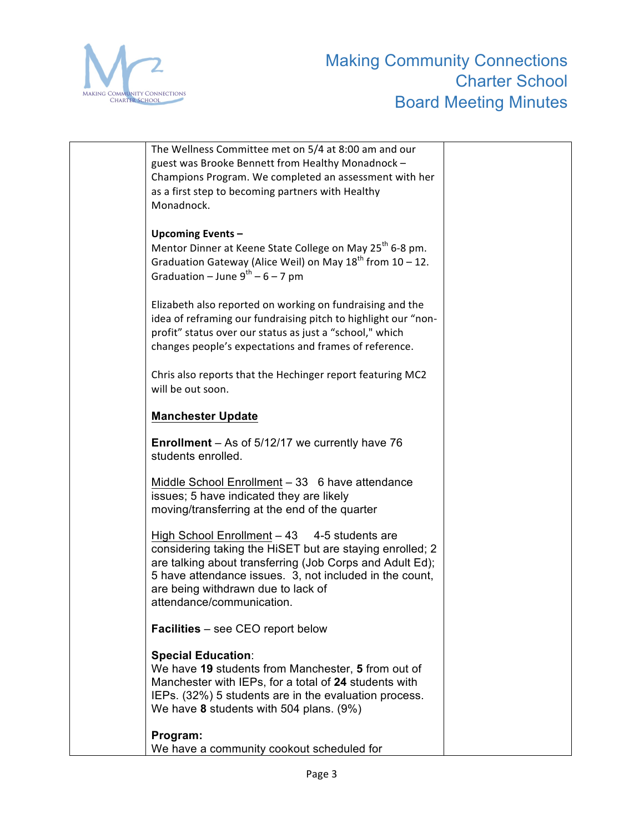

| The Wellness Committee met on 5/4 at 8:00 am and our                                             |  |
|--------------------------------------------------------------------------------------------------|--|
| guest was Brooke Bennett from Healthy Monadnock -                                                |  |
| Champions Program. We completed an assessment with her                                           |  |
| as a first step to becoming partners with Healthy                                                |  |
| Monadnock.                                                                                       |  |
|                                                                                                  |  |
|                                                                                                  |  |
| Upcoming Events-                                                                                 |  |
| Mentor Dinner at Keene State College on May 25 <sup>th</sup> 6-8 pm.                             |  |
| Graduation Gateway (Alice Weil) on May $18^{th}$ from $10 - 12$ .                                |  |
| Graduation – June $9^{th}$ – 6 – 7 pm                                                            |  |
|                                                                                                  |  |
| Elizabeth also reported on working on fundraising and the                                        |  |
| idea of reframing our fundraising pitch to highlight our "non-                                   |  |
| profit" status over our status as just a "school," which                                         |  |
| changes people's expectations and frames of reference.                                           |  |
|                                                                                                  |  |
| Chris also reports that the Hechinger report featuring MC2                                       |  |
| will be out soon.                                                                                |  |
|                                                                                                  |  |
| <b>Manchester Update</b>                                                                         |  |
|                                                                                                  |  |
| <b>Enrollment</b> – As of $5/12/17$ we currently have 76                                         |  |
| students enrolled.                                                                               |  |
|                                                                                                  |  |
| Middle School Enrollment - 33 6 have attendance                                                  |  |
| issues; 5 have indicated they are likely                                                         |  |
| moving/transferring at the end of the quarter                                                    |  |
|                                                                                                  |  |
| High School Enrollment $-43$ 4-5 students are                                                    |  |
| considering taking the HiSET but are staying enrolled; 2                                         |  |
| are talking about transferring (Job Corps and Adult Ed);                                         |  |
| 5 have attendance issues. 3, not included in the count,                                          |  |
|                                                                                                  |  |
| are being withdrawn due to lack of<br>attendance/communication.                                  |  |
|                                                                                                  |  |
| <b>Facilities</b> – see CEO report below                                                         |  |
|                                                                                                  |  |
| <b>Special Education:</b>                                                                        |  |
| We have 19 students from Manchester, 5 from out of                                               |  |
| Manchester with IEPs, for a total of 24 students with                                            |  |
|                                                                                                  |  |
| IEPs. (32%) 5 students are in the evaluation process.<br>We have 8 students with 504 plans. (9%) |  |
|                                                                                                  |  |
| Program:                                                                                         |  |
| We have a community cookout scheduled for                                                        |  |
|                                                                                                  |  |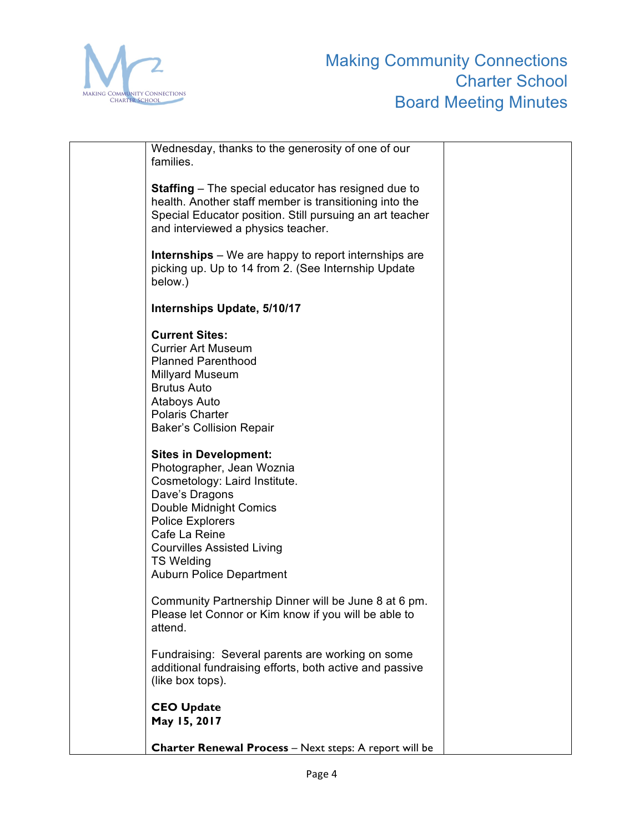

| Wednesday, thanks to the generosity of one of our<br>families.                                                                                                                                                                                                                  |  |
|---------------------------------------------------------------------------------------------------------------------------------------------------------------------------------------------------------------------------------------------------------------------------------|--|
| <b>Staffing</b> – The special educator has resigned due to<br>health. Another staff member is transitioning into the<br>Special Educator position. Still pursuing an art teacher<br>and interviewed a physics teacher.                                                          |  |
| <b>Internships</b> – We are happy to report internships are<br>picking up. Up to 14 from 2. (See Internship Update<br>below.)                                                                                                                                                   |  |
| Internships Update, 5/10/17                                                                                                                                                                                                                                                     |  |
| <b>Current Sites:</b><br><b>Currier Art Museum</b><br><b>Planned Parenthood</b><br><b>Millyard Museum</b><br><b>Brutus Auto</b><br>Ataboys Auto<br><b>Polaris Charter</b><br><b>Baker's Collision Repair</b>                                                                    |  |
| <b>Sites in Development:</b><br>Photographer, Jean Woznia<br>Cosmetology: Laird Institute.<br>Dave's Dragons<br>Double Midnight Comics<br><b>Police Explorers</b><br>Cafe La Reine<br><b>Courvilles Assisted Living</b><br><b>TS Welding</b><br><b>Auburn Police Department</b> |  |
| Community Partnership Dinner will be June 8 at 6 pm.<br>Please let Connor or Kim know if you will be able to<br>attend.                                                                                                                                                         |  |
| Fundraising: Several parents are working on some<br>additional fundraising efforts, both active and passive<br>(like box tops).                                                                                                                                                 |  |
| <b>CEO Update</b><br>May 15, 2017                                                                                                                                                                                                                                               |  |
| Charter Renewal Process - Next steps: A report will be                                                                                                                                                                                                                          |  |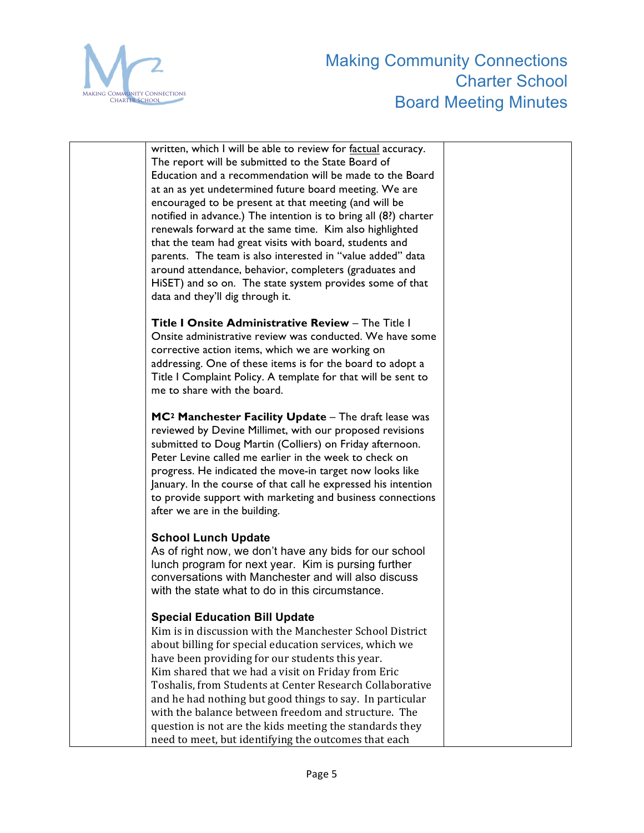

written, which I will be able to review for factual accuracy. The report will be submitted to the State Board of Education and a recommendation will be made to the Board at an as yet undetermined future board meeting. We are encouraged to be present at that meeting (and will be notified in advance.) The intention is to bring all (8?) charter renewals forward at the same time. Kim also highlighted that the team had great visits with board, students and parents. The team is also interested in "value added" data around attendance, behavior, completers (graduates and HiSET) and so on. The state system provides some of that data and they'll dig through it.

**Title I Onsite Administrative Review** – The Title I Onsite administrative review was conducted. We have some corrective action items, which we are working on addressing. One of these items is for the board to adopt a Title I Complaint Policy. A template for that will be sent to me to share with the board.

**MC2 Manchester Facility Update** – The draft lease was reviewed by Devine Millimet, with our proposed revisions submitted to Doug Martin (Colliers) on Friday afternoon. Peter Levine called me earlier in the week to check on progress. He indicated the move-in target now looks like January. In the course of that call he expressed his intention to provide support with marketing and business connections after we are in the building.

# **School Lunch Update**

As of right now, we don't have any bids for our school lunch program for next year. Kim is pursing further conversations with Manchester and will also discuss with the state what to do in this circumstance.

# **Special Education Bill Update**

Kim is in discussion with the Manchester School District about billing for special education services, which we have been providing for our students this year. Kim shared that we had a visit on Friday from Eric Toshalis, from Students at Center Research Collaborative and he had nothing but good things to say. In particular with the balance between freedom and structure. The question is not are the kids meeting the standards they need to meet, but identifying the outcomes that each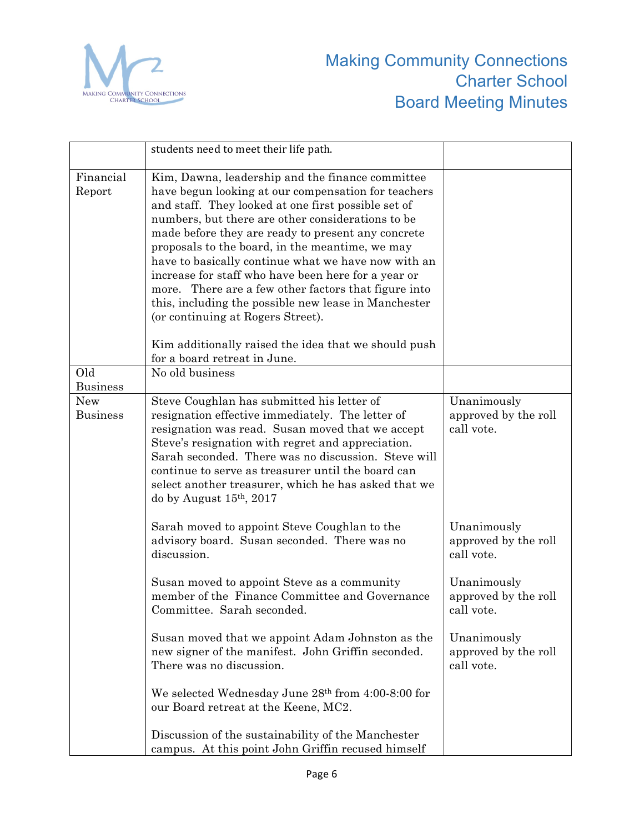

|                        | students need to meet their life path.                                                                                                                                                                                                                                                                                                                                                                                                                                                                                                                                                                                                                  |                                                   |
|------------------------|---------------------------------------------------------------------------------------------------------------------------------------------------------------------------------------------------------------------------------------------------------------------------------------------------------------------------------------------------------------------------------------------------------------------------------------------------------------------------------------------------------------------------------------------------------------------------------------------------------------------------------------------------------|---------------------------------------------------|
| Financial<br>Report    | Kim, Dawna, leadership and the finance committee<br>have begun looking at our compensation for teachers<br>and staff. They looked at one first possible set of<br>numbers, but there are other considerations to be<br>made before they are ready to present any concrete<br>proposals to the board, in the meantime, we may<br>have to basically continue what we have now with an<br>increase for staff who have been here for a year or<br>more. There are a few other factors that figure into<br>this, including the possible new lease in Manchester<br>(or continuing at Rogers Street).<br>Kim additionally raised the idea that we should push |                                                   |
|                        | for a board retreat in June.                                                                                                                                                                                                                                                                                                                                                                                                                                                                                                                                                                                                                            |                                                   |
| Old<br><b>Business</b> | No old business                                                                                                                                                                                                                                                                                                                                                                                                                                                                                                                                                                                                                                         |                                                   |
| New<br><b>Business</b> | Steve Coughlan has submitted his letter of<br>resignation effective immediately. The letter of<br>resignation was read. Susan moved that we accept<br>Steve's resignation with regret and appreciation.<br>Sarah seconded. There was no discussion. Steve will<br>continue to serve as treasurer until the board can<br>select another treasurer, which he has asked that we<br>do by August $15th$ , 2017                                                                                                                                                                                                                                              | Unanimously<br>approved by the roll<br>call vote. |
|                        | Sarah moved to appoint Steve Coughlan to the<br>advisory board. Susan seconded. There was no<br>discussion.                                                                                                                                                                                                                                                                                                                                                                                                                                                                                                                                             | Unanimously<br>approved by the roll<br>call vote. |
|                        | Susan moved to appoint Steve as a community<br>member of the Finance Committee and Governance<br>Committee. Sarah seconded.                                                                                                                                                                                                                                                                                                                                                                                                                                                                                                                             | Unanimously<br>approved by the roll<br>call vote. |
|                        | Susan moved that we appoint Adam Johnston as the<br>new signer of the manifest. John Griffin seconded.<br>There was no discussion.                                                                                                                                                                                                                                                                                                                                                                                                                                                                                                                      | Unanimously<br>approved by the roll<br>call vote. |
|                        | We selected Wednesday June 28th from 4:00-8:00 for<br>our Board retreat at the Keene, MC2.                                                                                                                                                                                                                                                                                                                                                                                                                                                                                                                                                              |                                                   |
|                        | Discussion of the sustainability of the Manchester<br>campus. At this point John Griffin recused himself                                                                                                                                                                                                                                                                                                                                                                                                                                                                                                                                                |                                                   |